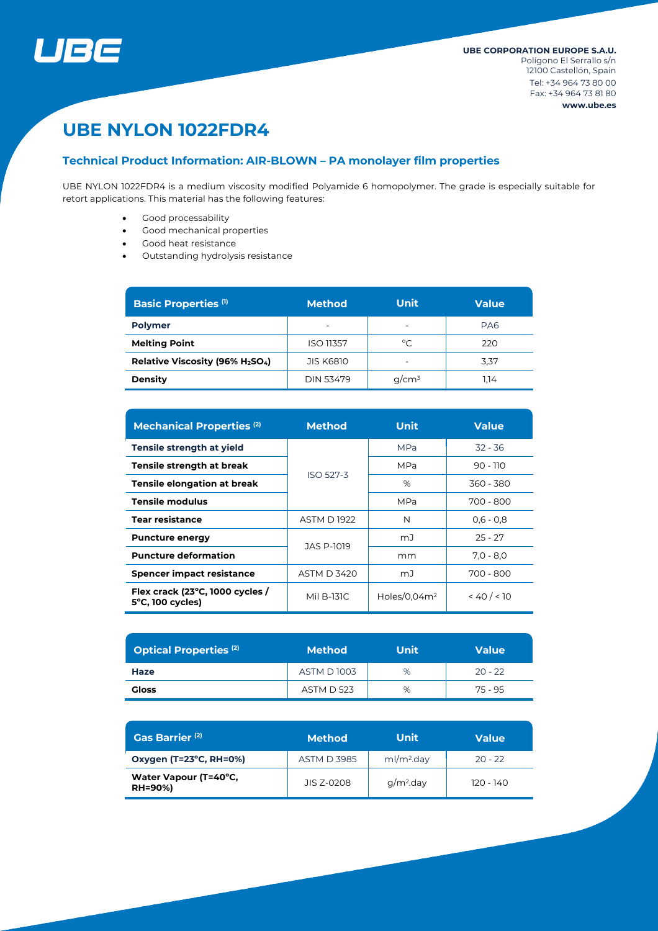

# **UBE NYLON 1022FDR4**

# **Technical Product Information: AIR-BLOWN – PA monolayer film properties**

UBE NYLON 1022FDR4 is a medium viscosity modified Polyamide 6 homopolymer. The grade is especially suitable for retort applications. This material has the following features:

- Good processability
- Good mechanical properties
- Good heat resistance
- Outstanding hydrolysis resistance

| <b>Basic Properties (1)</b>    | <b>Method</b>            | <b>Unit</b>              | <b>Value</b> |  |
|--------------------------------|--------------------------|--------------------------|--------------|--|
| <b>Polymer</b>                 | $\overline{\phantom{0}}$ | $\overline{\phantom{0}}$ | PA6          |  |
| <b>Melting Point</b>           | <b>ISO 11357</b>         | $^{\circ}C$              | 220          |  |
| Relative Viscosity (96% H2SO4) | <b>JIS K6810</b>         |                          | 3,37         |  |
| <b>Density</b>                 | <b>DIN 53479</b>         | $q/cm^3$                 | 1.14         |  |

| <b>Mechanical Properties (2)</b>                              | <b>Method</b>      | <b>Unit</b>     | <b>Value</b> |  |
|---------------------------------------------------------------|--------------------|-----------------|--------------|--|
| Tensile strength at yield                                     |                    | <b>MPa</b>      | $32 - 36$    |  |
| Tensile strength at break                                     | ISO 527-3          | <b>MPa</b>      | $90 - 110$   |  |
| <b>Tensile elongation at break</b>                            |                    | %               | 360 - 380    |  |
| <b>Tensile modulus</b>                                        |                    | <b>MPa</b>      | 700 - 800    |  |
| <b>Tear resistance</b>                                        | <b>ASTM D1922</b>  | N               | $0,6 - 0,8$  |  |
| <b>Puncture energy</b>                                        | JAS P-1019         | mJ              | $25 - 27$    |  |
| <b>Puncture deformation</b>                                   |                    | mm              | $7.0 - 8.0$  |  |
| <b>Spencer impact resistance</b>                              | <b>ASTM D 3420</b> | mJ              | 700 - 800    |  |
| Flex crack (23°C, 1000 cycles /<br>$5^{\circ}$ C, 100 cycles) | Mil B-131C         | Holes/0.04 $m2$ | < 40 / < 10  |  |

| <b>Optical Properties (2)</b> | <b>Method</b>     | Unit | <b>Value</b> |  |
|-------------------------------|-------------------|------|--------------|--|
| Haze                          | <b>ASTM D1003</b> | %    | $20 - 22$    |  |
| Gloss                         | <b>ASTM D 523</b> | %    | 75 - 95      |  |

| Gas Barrier <sup>(2)</sup>              | <b>Method</b>      | Unit                   | Value       |  |
|-----------------------------------------|--------------------|------------------------|-------------|--|
| Oxygen (T=23°C, RH=0%)                  | <b>ASTM D 3985</b> | ml/m <sup>2</sup> .day | $20 - 22$   |  |
| Water Vapour (T=40°C,<br><b>RH=90%)</b> | JIS 7-0208         | $q/m2$ .day            | $120 - 140$ |  |